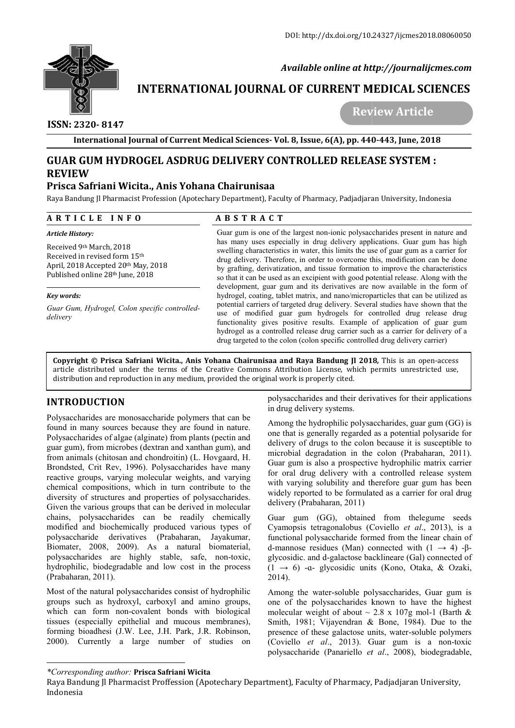

 *Available online at http://journalijcmes.com*

# **INTERNATIONAL JOURNAL OF CURRENT MEDICAL SCIENCES SCIENCES**

 **ISSN: 2320- 8147**

 **Review Article**

**International Journal of Current Medical Sciences Sciences- Vol. 8, Issue, 6(A), pp. 440 440-443, June, 2018**

# **GUAR GUM HYDROGEL ASDRUG DELIVERY CONTROLLED RELEASE SYSTEM : REVIEW**

# **Prisca Safriani Wicita., Anis Yohana Chairunisaa**

Raya Bandung Jl Pharmacist Profession (Apotechary Department), Faculty of Pharmacy, Padjadjaran University, Indonesia

#### **A R T I C L E I N F O**

#### **A B S T R A C T**

|                                                                                                                                                                                                                                                                                                                                                                                                                                                                                                                                                                                                                                                                                                                                                                                                                               | <b>ABSTRACT</b>                                                                                                                                                                                                                                                                                                                                                                                                                                                                                                                                                                                                                                                                                                                                                                                                                                                                                                                                                                                                                                                                               |                                                                                                                                                                                                                                                                                                                                                                                                                                                                                                                                                                                                                                                                                                                                                                             |
|-------------------------------------------------------------------------------------------------------------------------------------------------------------------------------------------------------------------------------------------------------------------------------------------------------------------------------------------------------------------------------------------------------------------------------------------------------------------------------------------------------------------------------------------------------------------------------------------------------------------------------------------------------------------------------------------------------------------------------------------------------------------------------------------------------------------------------|-----------------------------------------------------------------------------------------------------------------------------------------------------------------------------------------------------------------------------------------------------------------------------------------------------------------------------------------------------------------------------------------------------------------------------------------------------------------------------------------------------------------------------------------------------------------------------------------------------------------------------------------------------------------------------------------------------------------------------------------------------------------------------------------------------------------------------------------------------------------------------------------------------------------------------------------------------------------------------------------------------------------------------------------------------------------------------------------------|-----------------------------------------------------------------------------------------------------------------------------------------------------------------------------------------------------------------------------------------------------------------------------------------------------------------------------------------------------------------------------------------------------------------------------------------------------------------------------------------------------------------------------------------------------------------------------------------------------------------------------------------------------------------------------------------------------------------------------------------------------------------------------|
| Article History:<br>Received 9th March, 2018<br>Received in revised form 15th<br>April, 2018 Accepted 20th May, 2018<br>Published online 28th June, 2018<br>Key words:<br>Guar Gum, Hydrogel, Colon specific controlled-<br>delivery                                                                                                                                                                                                                                                                                                                                                                                                                                                                                                                                                                                          | Guar gum is one of the largest non-ionic polysaccharides present in nature and<br>has many uses especially in drug delivery applications. Guar gum has high<br>swelling characteristics in water, this limits the use of guar gum as a carrier for<br>drug delivery. Therefore, in order to overcome this, modification can be done<br>by grafting, derivatization, and tissue formation to improve the characteristics<br>so that it can be used as an excipient with good potential release. Along with the<br>development, guar gum and its derivatives are now available in the form of<br>hydrogel, coating, tablet matrix, and nano/microparticles that can be utilized as<br>potential carriers of targeted drug delivery. Several studies have shown that the<br>use of modified guar gum hydrogels for controlled drug release drug<br>functionality gives positive results. Example of application of guar gum<br>hydrogel as a controlled release drug carrier such as a carrier for delivery of a<br>drug targeted to the colon (colon specific controlled drug delivery carrier) |                                                                                                                                                                                                                                                                                                                                                                                                                                                                                                                                                                                                                                                                                                                                                                             |
| distribution and reproduction in any medium, provided the original work is properly cited.                                                                                                                                                                                                                                                                                                                                                                                                                                                                                                                                                                                                                                                                                                                                    |                                                                                                                                                                                                                                                                                                                                                                                                                                                                                                                                                                                                                                                                                                                                                                                                                                                                                                                                                                                                                                                                                               | Copyright © Prisca Safriani Wicita., Anis Yohana Chairunisaa and Raya Bandung Jl 2018, This is an open-access<br>article distributed under the terms of the Creative Commons Attribution License, which permits unrestricted use,                                                                                                                                                                                                                                                                                                                                                                                                                                                                                                                                           |
| <b>INTRODUCTION</b>                                                                                                                                                                                                                                                                                                                                                                                                                                                                                                                                                                                                                                                                                                                                                                                                           |                                                                                                                                                                                                                                                                                                                                                                                                                                                                                                                                                                                                                                                                                                                                                                                                                                                                                                                                                                                                                                                                                               | polysaccharides and their derivatives for their application<br>in drug delivery systems.                                                                                                                                                                                                                                                                                                                                                                                                                                                                                                                                                                                                                                                                                    |
| Polysaccharides are monosaccharide polymers that can be<br>found in many sources because they are found in nature.<br>Polysaccharides of algae (alginate) from plants (pectin and<br>guar gum), from microbes (dextran and xanthan gum), and<br>from animals (chitosan and chondroitin) (L. Hovgaard, H.<br>Brondsted, Crit Rev, 1996). Polysaccharides have many<br>reactive groups, varying molecular weights, and varying<br>chemical compositions, which in turn contribute to the<br>diversity of structures and properties of polysaccharides.<br>Given the various groups that can be derived in molecular<br>chains, polysaccharides can be readily chemically<br>modified and biochemically produced various types of<br>polysaccharide derivatives (Prabaharan,<br>Biomater, 2008, 2009). As a natural biomaterial, | Jayakumar,                                                                                                                                                                                                                                                                                                                                                                                                                                                                                                                                                                                                                                                                                                                                                                                                                                                                                                                                                                                                                                                                                    | Among the hydrophilic polysaccharides, guar gum (GG) is<br>one that is generally regarded as a potential polysaride fo<br>delivery of drugs to the colon because it is susceptible to<br>microbial degradation in the colon (Prabaharan, 2011)<br>Guar gum is also a prospective hydrophilic matrix carrie<br>for oral drug delivery with a controlled release system<br>with varying solubility and therefore guar gum has been<br>widely reported to be formulated as a carrier for oral drug<br>delivery (Prabaharan, 2011)<br>Guar gum (GG), obtained from the legume seed<br>Cyamopsis tetragonalobus (Coviello et al., 2013), is<br>functional polysaccharide formed from the linear chain o<br>d-mannose residues (Man) connected with $(1 \rightarrow 4)$ - $\beta$ |
|                                                                                                                                                                                                                                                                                                                                                                                                                                                                                                                                                                                                                                                                                                                                                                                                                               |                                                                                                                                                                                                                                                                                                                                                                                                                                                                                                                                                                                                                                                                                                                                                                                                                                                                                                                                                                                                                                                                                               | glycosidic. and d-galactose backlineare (Gal) connected o                                                                                                                                                                                                                                                                                                                                                                                                                                                                                                                                                                                                                                                                                                                   |
| polysaccharides are highly stable, safe, non-toxic,<br>hydrophilic, biodegradable and low cost in the process<br>(Prabaharan, 2011).                                                                                                                                                                                                                                                                                                                                                                                                                                                                                                                                                                                                                                                                                          |                                                                                                                                                                                                                                                                                                                                                                                                                                                                                                                                                                                                                                                                                                                                                                                                                                                                                                                                                                                                                                                                                               | $(1 \rightarrow 6)$ -a- glycosidic units (Kono, Otaka, & Ozaki<br>2014).                                                                                                                                                                                                                                                                                                                                                                                                                                                                                                                                                                                                                                                                                                    |

## **INTRODUCTION**

*<sup>\*</sup>Corresponding author:* **Prisca Safriani Wicita**

Raya Bandung Jl Pharmacist Proffession (Apotechary Department), Faculty of Pharmacy, Padjadjaran University, Indonesia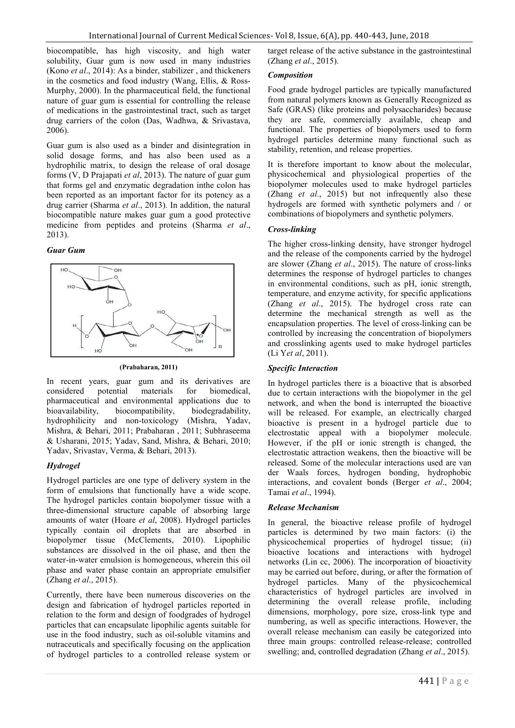biocompatible, has high viscosity, and high water solubility, Guar gum is now used in many industries (Kono *et al*., 2014): As a binder, stabilizer , and thickeners in the cosmetics and food industry (Wang, Ellis, & Ross-Murphy, 2000). In the pharmaceutical field, the functional nature of guar gum is essential for controlling the release of medications in the gastrointestinal tract, such as target drug carriers of the colon (Das, Wadhwa, & Srivastava, 2006).

Guar gum is also used as a binder and disintegration in solid dosage forms, and has also been used as a hydrophilic matrix, to design the release of oral dosage forms (V, D Prajapati *et al*, 2013). The nature of guar gum that forms gel and enzymatic degradation inthe colon has been reported as an important factor for its potency as a drug carrier (Sharma *et al*., 2013). In addition, the natural biocompatible nature makes guar gum a good protective medicine from peptides and proteins (Sharma *et al*., 2013).

#### *Guar Gum*



#### **(Prabaharan, 2011)**

In recent years, guar gum and its derivatives are considered potential materials for biomedical, pharmaceutical and environmental applications due to biodegradability, hydrophilicity and non-toxicology (Mishra, Yadav, Mishra, & Behari, 2011; Prabaharan , 2011; Subhraseema & Usharani, 2015; Yadav, Sand, Mishra, & Behari, 2010; Yadav, Srivastav, Verma, & Behari, 2013).

## *Hydrogel*

Hydrogel particles are one type of delivery system in the form of emulsions that functionally have a wide scope. The hydrogel particles contain biopolymer tissue with a three-dimensional structure capable of absorbing large amounts of water (Hoare *et al*, 2008). Hydrogel particles typically contain oil droplets that are absorbed in biopolymer tissue (McClements, 2010). Lipophilic substances are dissolved in the oil phase, and then the water-in-water emulsion is homogeneous, wherein this oil phase and water phase contain an appropriate emulsifier (Zhang *et al*., 2015).

Currently, there have been numerous discoveries on the design and fabrication of hydrogel particles reported in relation to the form and design of foodgrades of hydrogel particles that can encapsulate lipophilic agents suitable for use in the food industry, such as oil-soluble vitamins and nutraceuticals and specifically focusing on the application of hydrogel particles to a controlled release system or target release of the active substance in the gastrointestinal (Zhang *et al*., 2015).

#### *Composition*

Food grade hydrogel particles are typically manufactured from natural polymers known as Generally Recognized as Safe (GRAS) (like proteins and polysaccharides) because they are safe, commercially available, cheap and functional. The properties of biopolymers used to form hydrogel particles determine many functional such as stability, retention, and release properties.

It is therefore important to know about the molecular, physicochemical and physiological properties of the biopolymer molecules used to make hydrogel particles (Zhang *et al*., 2015) but not infrequently also these hydrogels are formed with synthetic polymers and / or combinations of biopolymers and synthetic polymers.

#### *Cross-linking*

The higher cross-linking density, have stronger hydrogel and the release of the components carried by the hydrogel are slower (Zhang *et al*., 2015). The nature of cross-links determines the response of hydrogel particles to changes in environmental conditions, such as pH, ionic strength, temperature, and enzyme activity, for specific applications (Zhang *et al*., 2015). The hydrogel cross rate can determine the mechanical strength as well as the encapsulation properties. The level of cross-linking can be controlled by increasing the concentration of biopolymers and crosslinking agents used to make hydrogel particles (Li Y*et al*, 2011).

## *Specific Interaction*

In hydrogel particles there is a bioactive that is absorbed due to certain interactions with the biopolymer in the gel network, and when the bond is interrupted the bioactive will be released. For example, an electrically charged bioactive is present in a hydrogel particle due to electrostatic appeal with a biopolymer molecule. However, if the pH or ionic strength is changed, the electrostatic attraction weakens, then the bioactive will be released. Some of the molecular interactions used are van der Waals forces, hydrogen bonding, hydrophobic interactions, and covalent bonds (Berger *et al*., 2004; Tamai *et al*., 1994).

## *Release Mechanism*

In general, the bioactive release profile of hydrogel particles is determined by two main factors: (i) the physicochemical properties of hydrogel tissue; (ii) bioactive locations and interactions with hydrogel networks (Lin cc, 2006). The incorporation of bioactivity may be carried out before, during, or after the formation of hydrogel particles. Many of the physicochemical characteristics of hydrogel particles are involved in determining the overall release profile, including dimensions, morphology, pore size, cross-link type and numbering, as well as specific interactions. However, the overall release mechanism can easily be categorized into three main groups: controlled release-release; controlled swelling; and, controlled degradation (Zhang *et al*., 2015).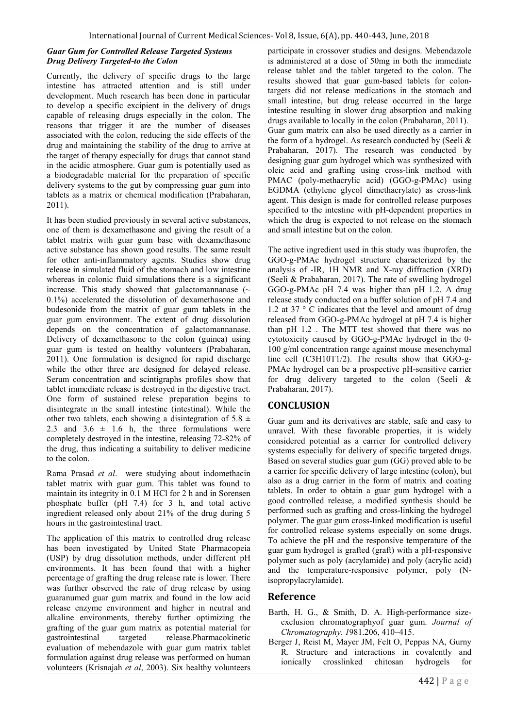#### *Guar Gum for Controlled Release Targeted Systems Drug Delivery Targeted-to the Colon*

Currently, the delivery of specific drugs to the large intestine has attracted attention and is still under development. Much research has been done in particular to develop a specific excipient in the delivery of drugs capable of releasing drugs especially in the colon. The reasons that trigger it are the number of diseases associated with the colon, reducing the side effects of the drug and maintaining the stability of the drug to arrive at the target of therapy especially for drugs that cannot stand in the acidic atmosphere. Guar gum is potentially used as a biodegradable material for the preparation of specific delivery systems to the gut by compressing guar gum into tablets as a matrix or chemical modification (Prabaharan, 2011).

It has been studied previously in several active substances, one of them is dexamethasone and giving the result of a tablet matrix with guar gum base with dexamethasone active substance has shown good results. The same result for other anti-inflammatory agents. Studies show drug release in simulated fluid of the stomach and low intestine whereas in colonic fluid simulations there is a significant increase. This study showed that galactomannanase  $(\sim$ 0.1%) accelerated the dissolution of dexamethasone and budesonide from the matrix of guar gum tablets in the guar gum environment. The extent of drug dissolution depends on the concentration of galactomannanase. Delivery of dexamethasone to the colon (guinea) using guar gum is tested on healthy volunteers (Prabaharan, 2011). One formulation is designed for rapid discharge while the other three are designed for delayed release. Serum concentration and scintigraphs profiles show that tablet immediate release is destroyed in the digestive tract. One form of sustained relese preparation begins to disintegrate in the small intestine (intestinal). While the other two tablets, each showing a disintegration of 5.8  $\pm$ 2.3 and  $3.6 \pm 1.6$  h, the three formulations were completely destroyed in the intestine, releasing 72-82% of the drug, thus indicating a suitability to deliver medicine to the colon.

Rama Prasad *et al*. were studying about indomethacin tablet matrix with guar gum. This tablet was found to maintain its integrity in 0.1 M HCl for 2 h and in Sorensen phosphate buffer (pH 7.4) for 3 h, and total active ingredient released only about 21% of the drug during 5 hours in the gastrointestinal tract.

The application of this matrix to controlled drug release has been investigated by United State Pharmacopeia (USP) by drug dissolution methods, under different pH environments. It has been found that with a higher percentage of grafting the drug release rate is lower. There was further observed the rate of drug release by using guaranumed guar gum matrix and found in the low acid release enzyme environment and higher in neutral and alkaline environments, thereby further optimizing the grafting of the guar gum matrix as potential material for gastrointestinal targeted release.Pharmacokinetic evaluation of mebendazole with guar gum matrix tablet formulation against drug release was performed on human volunteers (Krisnajah *et al*, 2003). Six healthy volunteers

participate in crossover studies and designs. Mebendazole is administered at a dose of 50mg in both the immediate release tablet and the tablet targeted to the colon. The results showed that guar gum-based tablets for colontargets did not release medications in the stomach and small intestine, but drug release occurred in the large intestine resulting in slower drug absorption and making drugs available to locally in the colon (Prabaharan, 2011). Guar gum matrix can also be used directly as a carrier in the form of a hydrogel. As research conducted by (Seeli & Prabaharan, 2017). The research was conducted by designing guar gum hydrogel which was synthesized with oleic acid and grafting using cross-link method with PMAC (poly-methacrylic acid) (GGO-g-PMAc) using EGDMA (ethylene glycol dimethacrylate) as cross-link agent. This design is made for controlled release purposes specified to the intestine with pH-dependent properties in which the drug is expected to not release on the stomach and small intestine but on the colon.

The active ingredient used in this study was ibuprofen, the GGO-g-PMAc hydrogel structure characterized by the analysis of -IR, 1H NMR and X-ray diffraction (XRD) (Seeli & Prabaharan, 2017). The rate of swelling hydrogel GGO-g-PMAc pH 7.4 was higher than pH 1.2. A drug release study conducted on a buffer solution of pH 7.4 and 1.2 at 37 ° C indicates that the level and amount of drug released from GGO-g-PMAc hydrogel at pH 7.4 is higher than pH 1.2 . The MTT test showed that there was no cytotoxicity caused by GGO-g-PMAc hydrogel in the 0- 100 g/ml concentration range against mouse mesenchymal line cell (C3H10T1/2). The results show that GGO-g-PMAc hydrogel can be a prospective pH-sensitive carrier for drug delivery targeted to the colon (Seeli & Prabaharan, 2017).

## **CONCLUSION**

Guar gum and its derivatives are stable, safe and easy to unravel. With these favorable properties, it is widely considered potential as a carrier for controlled delivery systems especially for delivery of specific targeted drugs. Based on several studies guar gum (GG) proved able to be a carrier for specific delivery of large intestine (colon), but also as a drug carrier in the form of matrix and coating tablets. In order to obtain a guar gum hydrogel with a good controlled release, a modified synthesis should be performed such as grafting and cross-linking the hydrogel polymer. The guar gum cross-linked modification is useful for controlled release systems especially on some drugs. To achieve the pH and the responsive temperature of the guar gum hydrogel is grafted (graft) with a pH-responsive polymer such as poly (acrylamide) and poly (acrylic acid) and the temperature-responsive polymer, poly (Nisopropylacrylamide).

## **Reference**

- Barth, H. G., & Smith, D. A. High-performance sizeexclusion chromatographyof guar gum. *Journal of Chromatography. 1*981.206, 410–415.
- Berger J, Reist M, Mayer JM, Felt O, Peppas NA, Gurny R. Structure and interactions in covalently and ionically crosslinked chitosan hydrogels for